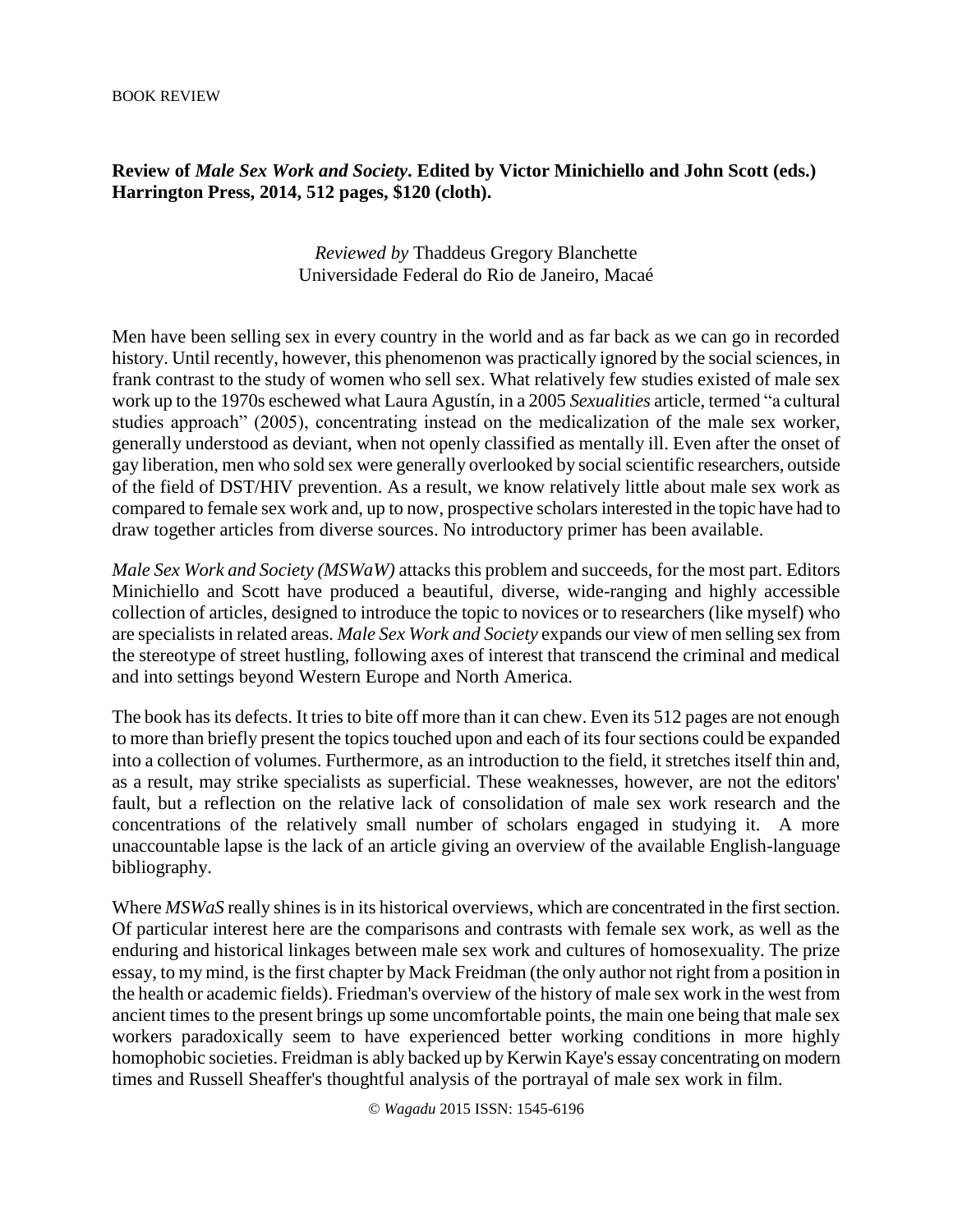## **Review of** *Male Sex Work and Society***. Edited by Victor Minichiello and John Scott (eds.) Harrington Press, 2014, 512 pages, \$120 (cloth).**

## *Reviewed by* Thaddeus Gregory Blanchette Universidade Federal do Rio de Janeiro, Macaé

Men have been selling sex in every country in the world and as far back as we can go in recorded history. Until recently, however, this phenomenon was practically ignored by the social sciences, in frank contrast to the study of women who sell sex. What relatively few studies existed of male sex work up to the 1970s eschewed what Laura Agustín, in a 2005 *Sexualities* article, termed "a cultural studies approach" (2005), concentrating instead on the medicalization of the male sex worker, generally understood as deviant, when not openly classified as mentally ill. Even after the onset of gay liberation, men who sold sex were generally overlooked by social scientific researchers, outside of the field of DST/HIV prevention. As a result, we know relatively little about male sex work as compared to female sex work and, up to now, prospective scholars interested in the topic have had to draw together articles from diverse sources. No introductory primer has been available.

*Male Sex Work and Society (MSWaW)* attacks this problem and succeeds, for the most part. Editors Minichiello and Scott have produced a beautiful, diverse, wide-ranging and highly accessible collection of articles, designed to introduce the topic to novices or to researchers (like myself) who are specialists in related areas. *Male Sex Work and Society* expands our view of men selling sex from the stereotype of street hustling, following axes of interest that transcend the criminal and medical and into settings beyond Western Europe and North America.

The book has its defects. It tries to bite off more than it can chew. Even its 512 pages are not enough to more than briefly present the topics touched upon and each of its four sections could be expanded into a collection of volumes. Furthermore, as an introduction to the field, it stretches itself thin and, as a result, may strike specialists as superficial. These weaknesses, however, are not the editors' fault, but a reflection on the relative lack of consolidation of male sex work research and the concentrations of the relatively small number of scholars engaged in studying it. A more unaccountable lapse is the lack of an article giving an overview of the available English-language bibliography.

Where *MSWaS* really shines is in its historical overviews, which are concentrated in the first section. Of particular interest here are the comparisons and contrasts with female sex work, as well as the enduring and historical linkages between male sex work and cultures of homosexuality. The prize essay, to my mind, is the first chapter by Mack Freidman (the only author not right from a position in the health or academic fields). Friedman's overview of the history of male sex work in the west from ancient times to the present brings up some uncomfortable points, the main one being that male sex workers paradoxically seem to have experienced better working conditions in more highly homophobic societies. Freidman is ably backed up by Kerwin Kaye's essay concentrating on modern times and Russell Sheaffer's thoughtful analysis of the portrayal of male sex work in film.

© *Wagadu* 2015 ISSN: 1545-6196